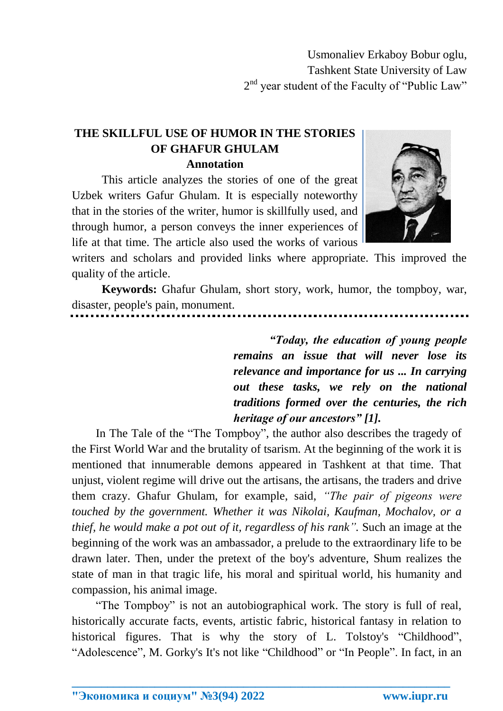Usmonaliev Erkaboy Bobur oglu, Tashkent State University of Law 2<sup>nd</sup> year student of the Faculty of "Public Law"

## **THE SKILLFUL USE OF HUMOR IN THE STORIES OF GHAFUR GHULAM Annotation**

This article analyzes the stories of one of the great Uzbek writers Gafur Ghulam. It is especially noteworthy that in the stories of the writer, humor is skillfully used, and through humor, a person conveys the inner experiences of life at that time. The article also used the works of various



writers and scholars and provided links where appropriate. This improved the quality of the article.

**Keywords:** Ghafur Ghulam, short story, work, humor, the tompboy, war, disaster, people's pain, monument.

> *"Today, the education of young people remains an issue that will never lose its relevance and importance for us ... In carrying out these tasks, we rely on the national traditions formed over the centuries, the rich heritage of our ancestors" [1].*

In The Tale of the "The Tompboy", the author also describes the tragedy of the First World War and the brutality of tsarism. At the beginning of the work it is mentioned that innumerable demons appeared in Tashkent at that time. That unjust, violent regime will drive out the artisans, the artisans, the traders and drive them crazy. Ghafur Ghulam, for example, said, *"The pair of pigeons were touched by the government. Whether it was Nikolai, Kaufman, Mochalov, or a thief, he would make a pot out of it, regardless of his rank".* Such an image at the beginning of the work was an ambassador, a prelude to the extraordinary life to be drawn later. Then, under the pretext of the boy's adventure, Shum realizes the state of man in that tragic life, his moral and spiritual world, his humanity and compassion, his animal image.

"The Tompboy" is not an autobiographical work. The story is full of real, historically accurate facts, events, artistic fabric, historical fantasy in relation to historical figures. That is why the story of L. Tolstoy's "Childhood", "Adolescence", M. Gorky's It's not like "Childhood" or "In People". In fact, in an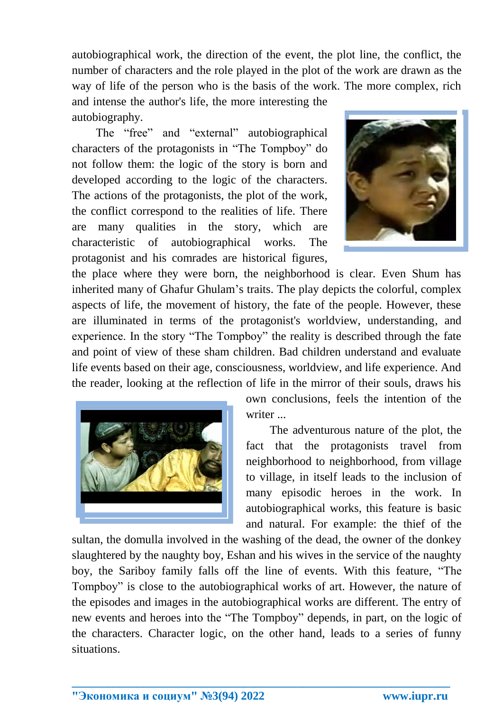autobiographical work, the direction of the event, the plot line, the conflict, the number of characters and the role played in the plot of the work are drawn as the way of life of the person who is the basis of the work. The more complex, rich

and intense the author's life, the more interesting the autobiography.

The "free" and "external" autobiographical characters of the protagonists in "The Tompboy" do not follow them: the logic of the story is born and developed according to the logic of the characters. The actions of the protagonists, the plot of the work, the conflict correspond to the realities of life. There are many qualities in the story, which are characteristic of autobiographical works. The protagonist and his comrades are historical figures,



the place where they were born, the neighborhood is clear. Even Shum has inherited many of Ghafur Ghulam's traits. The play depicts the colorful, complex aspects of life, the movement of history, the fate of the people. However, these are illuminated in terms of the protagonist's worldview, understanding, and experience. In the story "The Tompboy" the reality is described through the fate and point of view of these sham children. Bad children understand and evaluate life events based on their age, consciousness, worldview, and life experience. And the reader, looking at the reflection of life in the mirror of their souls, draws his



own conclusions, feels the intention of the writer ...

The adventurous nature of the plot, the fact that the protagonists travel from neighborhood to neighborhood, from village to village, in itself leads to the inclusion of many episodic heroes in the work. In autobiographical works, this feature is basic and natural. For example: the thief of the

sultan, the domulla involved in the washing of the dead, the owner of the donkey slaughtered by the naughty boy, Eshan and his wives in the service of the naughty boy, the Sariboy family falls off the line of events. With this feature, "The Tompboy" is close to the autobiographical works of art. However, the nature of the episodes and images in the autobiographical works are different. The entry of new events and heroes into the "The Tompboy" depends, in part, on the logic of the characters. Character logic, on the other hand, leads to a series of funny situations.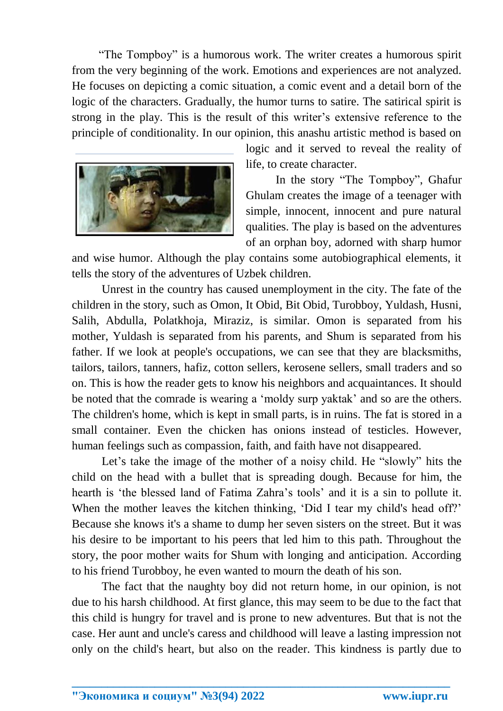"The Tompboy" is a humorous work. The writer creates a humorous spirit from the very beginning of the work. Emotions and experiences are not analyzed. He focuses on depicting a comic situation, a comic event and a detail born of the logic of the characters. Gradually, the humor turns to satire. The satirical spirit is strong in the play. This is the result of this writer's extensive reference to the principle of conditionality. In our opinion, this anashu artistic method is based on



logic and it served to reveal the reality of life, to create character.

In the story "The Tompboy", Ghafur Ghulam creates the image of a teenager with simple, innocent, innocent and pure natural qualities. The play is based on the adventures of an orphan boy, adorned with sharp humor

and wise humor. Although the play contains some autobiographical elements, it tells the story of the adventures of Uzbek children.

Unrest in the country has caused unemployment in the city. The fate of the children in the story, such as Omon, It Obid, Bit Obid, Turobboy, Yuldash, Husni, Salih, Abdulla, Polatkhoja, Miraziz, is similar. Omon is separated from his mother, Yuldash is separated from his parents, and Shum is separated from his father. If we look at people's occupations, we can see that they are blacksmiths, tailors, tailors, tanners, hafiz, cotton sellers, kerosene sellers, small traders and so on. This is how the reader gets to know his neighbors and acquaintances. It should be noted that the comrade is wearing a 'moldy surp yaktak' and so are the others. The children's home, which is kept in small parts, is in ruins. The fat is stored in a small container. Even the chicken has onions instead of testicles. However, human feelings such as compassion, faith, and faith have not disappeared.

Let's take the image of the mother of a noisy child. He "slowly" hits the child on the head with a bullet that is spreading dough. Because for him, the hearth is 'the blessed land of Fatima Zahra's tools' and it is a sin to pollute it. When the mother leaves the kitchen thinking, 'Did I tear my child's head off?' Because she knows it's a shame to dump her seven sisters on the street. But it was his desire to be important to his peers that led him to this path. Throughout the story, the poor mother waits for Shum with longing and anticipation. According to his friend Turobboy, he even wanted to mourn the death of his son.

The fact that the naughty boy did not return home, in our opinion, is not due to his harsh childhood. At first glance, this may seem to be due to the fact that this child is hungry for travel and is prone to new adventures. But that is not the case. Her aunt and uncle's caress and childhood will leave a lasting impression not only on the child's heart, but also on the reader. This kindness is partly due to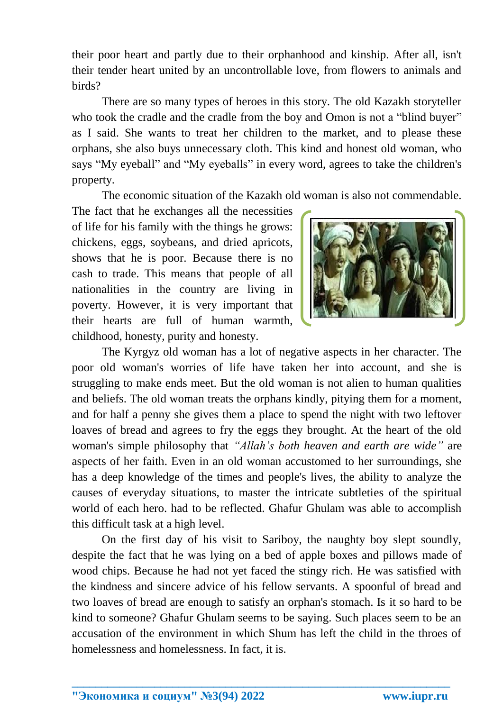their poor heart and partly due to their orphanhood and kinship. After all, isn't their tender heart united by an uncontrollable love, from flowers to animals and birds?

There are so many types of heroes in this story. The old Kazakh storyteller who took the cradle and the cradle from the boy and Omon is not a "blind buyer" as I said. She wants to treat her children to the market, and to please these orphans, she also buys unnecessary cloth. This kind and honest old woman, who says "My eyeball" and "My eyeballs" in every word, agrees to take the children's property.

The economic situation of the Kazakh old woman is also not commendable.

The fact that he exchanges all the necessities of life for his family with the things he grows: chickens, eggs, soybeans, and dried apricots, shows that he is poor. Because there is no cash to trade. This means that people of all nationalities in the country are living in poverty. However, it is very important that their hearts are full of human warmth, childhood, honesty, purity and honesty.



The Kyrgyz old woman has a lot of negative aspects in her character. The poor old woman's worries of life have taken her into account, and she is struggling to make ends meet. But the old woman is not alien to human qualities and beliefs. The old woman treats the orphans kindly, pitying them for a moment, and for half a penny she gives them a place to spend the night with two leftover loaves of bread and agrees to fry the eggs they brought. At the heart of the old woman's simple philosophy that *"Allah's both heaven and earth are wide"* are aspects of her faith. Even in an old woman accustomed to her surroundings, she has a deep knowledge of the times and people's lives, the ability to analyze the causes of everyday situations, to master the intricate subtleties of the spiritual world of each hero. had to be reflected. Ghafur Ghulam was able to accomplish this difficult task at a high level.

On the first day of his visit to Sariboy, the naughty boy slept soundly, despite the fact that he was lying on a bed of apple boxes and pillows made of wood chips. Because he had not yet faced the stingy rich. He was satisfied with the kindness and sincere advice of his fellow servants. A spoonful of bread and two loaves of bread are enough to satisfy an orphan's stomach. Is it so hard to be kind to someone? Ghafur Ghulam seems to be saying. Such places seem to be an accusation of the environment in which Shum has left the child in the throes of homelessness and homelessness. In fact, it is.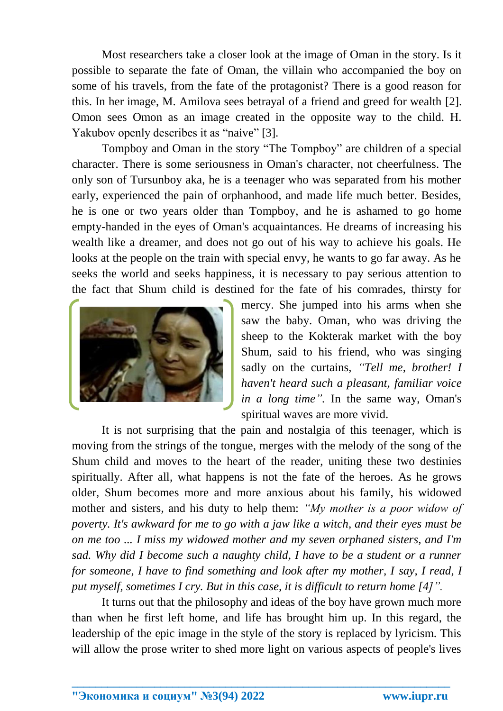Most researchers take a closer look at the image of Oman in the story. Is it possible to separate the fate of Oman, the villain who accompanied the boy on some of his travels, from the fate of the protagonist? There is a good reason for this. In her image, M. Amilova sees betrayal of a friend and greed for wealth [2]. Omon sees Omon as an image created in the opposite way to the child. H. Yakubov openly describes it as "naive" [3].

Tompboy and Oman in the story "The Tompboy" are children of a special character. There is some seriousness in Oman's character, not cheerfulness. The only son of Tursunboy aka, he is a teenager who was separated from his mother early, experienced the pain of orphanhood, and made life much better. Besides, he is one or two years older than Tompboy, and he is ashamed to go home empty-handed in the eyes of Oman's acquaintances. He dreams of increasing his wealth like a dreamer, and does not go out of his way to achieve his goals. He looks at the people on the train with special envy, he wants to go far away. As he seeks the world and seeks happiness, it is necessary to pay serious attention to the fact that Shum child is destined for the fate of his comrades, thirsty for



mercy. She jumped into his arms when she saw the baby. Oman, who was driving the sheep to the Kokterak market with the boy Shum, said to his friend, who was singing sadly on the curtains, *"Tell me, brother! I haven't heard such a pleasant, familiar voice in a long time".* In the same way, Oman's spiritual waves are more vivid.

It is not surprising that the pain and nostalgia of this teenager, which is moving from the strings of the tongue, merges with the melody of the song of the Shum child and moves to the heart of the reader, uniting these two destinies spiritually. After all, what happens is not the fate of the heroes. As he grows older, Shum becomes more and more anxious about his family, his widowed mother and sisters, and his duty to help them: *"My mother is a poor widow of poverty. It's awkward for me to go with a jaw like a witch, and their eyes must be on me too ... I miss my widowed mother and my seven orphaned sisters, and I'm sad.* Why did I become such a naughty child, I have to be a student or a runner *for someone, I have to find something and look after my mother, I say, I read, I put myself, sometimes I cry. But in this case, it is difficult to return home [4]".*

It turns out that the philosophy and ideas of the boy have grown much more than when he first left home, and life has brought him up. In this regard, the leadership of the epic image in the style of the story is replaced by lyricism. This will allow the prose writer to shed more light on various aspects of people's lives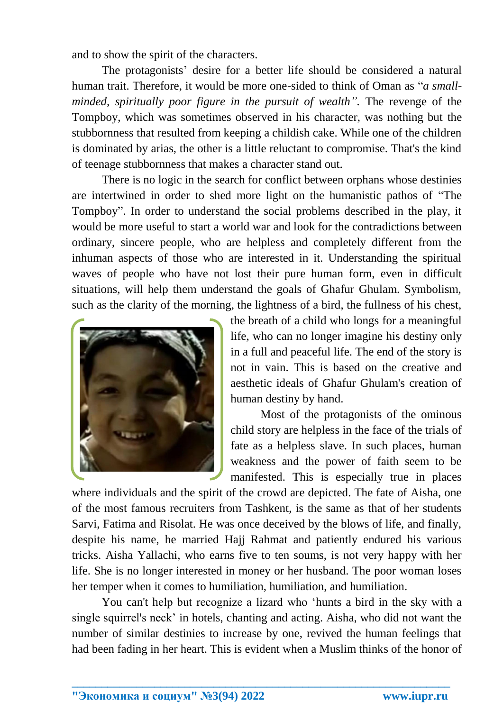and to show the spirit of the characters.

The protagonists' desire for a better life should be considered a natural human trait. Therefore, it would be more one-sided to think of Oman as "*a smallminded, spiritually poor figure in the pursuit of wealth".* The revenge of the Tompboy, which was sometimes observed in his character, was nothing but the stubbornness that resulted from keeping a childish cake. While one of the children is dominated by arias, the other is a little reluctant to compromise. That's the kind of teenage stubbornness that makes a character stand out.

There is no logic in the search for conflict between orphans whose destinies are intertwined in order to shed more light on the humanistic pathos of "The Tompboy". In order to understand the social problems described in the play, it would be more useful to start a world war and look for the contradictions between ordinary, sincere people, who are helpless and completely different from the inhuman aspects of those who are interested in it. Understanding the spiritual waves of people who have not lost their pure human form, even in difficult situations, will help them understand the goals of Ghafur Ghulam. Symbolism, such as the clarity of the morning, the lightness of a bird, the fullness of his chest,



the breath of a child who longs for a meaningful life, who can no longer imagine his destiny only in a full and peaceful life. The end of the story is not in vain. This is based on the creative and aesthetic ideals of Ghafur Ghulam's creation of human destiny by hand.

Most of the protagonists of the ominous child story are helpless in the face of the trials of fate as a helpless slave. In such places, human weakness and the power of faith seem to be manifested. This is especially true in places

where individuals and the spirit of the crowd are depicted. The fate of Aisha, one of the most famous recruiters from Tashkent, is the same as that of her students Sarvi, Fatima and Risolat. He was once deceived by the blows of life, and finally, despite his name, he married Hajj Rahmat and patiently endured his various tricks. Aisha Yallachi, who earns five to ten soums, is not very happy with her life. She is no longer interested in money or her husband. The poor woman loses her temper when it comes to humiliation, humiliation, and humiliation.

You can't help but recognize a lizard who 'hunts a bird in the sky with a single squirrel's neck' in hotels, chanting and acting. Aisha, who did not want the number of similar destinies to increase by one, revived the human feelings that had been fading in her heart. This is evident when a Muslim thinks of the honor of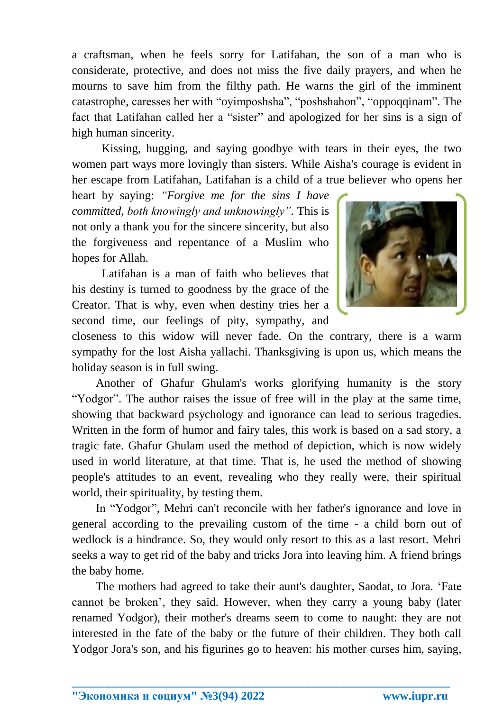a craftsman, when he feels sorry for Latifahan, the son of a man who is considerate, protective, and does not miss the five daily prayers, and when he mourns to save him from the filthy path. He warns the girl of the imminent catastrophe, caresses her with "oyimposhsha", "poshshahon", "oppoqqinam". The fact that Latifahan called her a "sister" and apologized for her sins is a sign of high human sincerity.

Kissing, hugging, and saying goodbye with tears in their eyes, the two women part ways more lovingly than sisters. While Aisha's courage is evident in her escape from Latifahan, Latifahan is a child of a true believer who opens her

heart by saying: *"Forgive me for the sins I have committed, both knowingly and unknowingly".* This is not only a thank you for the sincere sincerity, but also the forgiveness and repentance of a Muslim who hopes for Allah.

Latifahan is a man of faith who believes that his destiny is turned to goodness by the grace of the Creator. That is why, even when destiny tries her a second time, our feelings of pity, sympathy, and



closeness to this widow will never fade. On the contrary, there is a warm sympathy for the lost Aisha yallachi. Thanksgiving is upon us, which means the holiday season is in full swing.

Another of Ghafur Ghulam's works glorifying humanity is the story "Yodgor". The author raises the issue of free will in the play at the same time, showing that backward psychology and ignorance can lead to serious tragedies. Written in the form of humor and fairy tales, this work is based on a sad story, a tragic fate. Ghafur Ghulam used the method of depiction, which is now widely used in world literature, at that time. That is, he used the method of showing people's attitudes to an event, revealing who they really were, their spiritual world, their spirituality, by testing them.

In "Yodgor", Mehri can't reconcile with her father's ignorance and love in general according to the prevailing custom of the time - a child born out of wedlock is a hindrance. So, they would only resort to this as a last resort. Mehri seeks a way to get rid of the baby and tricks Jora into leaving him. A friend brings the baby home.

The mothers had agreed to take their aunt's daughter, Saodat, to Jora. 'Fate cannot be broken', they said. However, when they carry a young baby (later renamed Yodgor), their mother's dreams seem to come to naught: they are not interested in the fate of the baby or the future of their children. They both call Yodgor Jora's son, and his figurines go to heaven: his mother curses him, saying,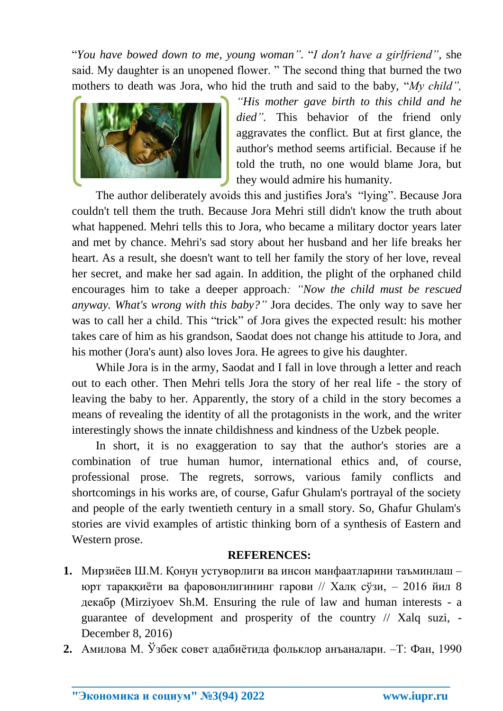"*You have bowed down to me, young woman".* "*I don't have a girlfriend",* she said. My daughter is an unopened flower. " The second thing that burned the two mothers to death was Jora, who hid the truth and said to the baby, "*My child",* 



*"His mother gave birth to this child and he died".* This behavior of the friend only aggravates the conflict. But at first glance, the author's method seems artificial. Because if he told the truth, no one would blame Jora, but they would admire his humanity.

The author deliberately avoids this and justifies Jora's "lying". Because Jora couldn't tell them the truth. Because Jora Mehri still didn't know the truth about what happened. Mehri tells this to Jora, who became a military doctor years later and met by chance. Mehri's sad story about her husband and her life breaks her heart. As a result, she doesn't want to tell her family the story of her love, reveal her secret, and make her sad again. In addition, the plight of the orphaned child encourages him to take a deeper approach*: "Now the child must be rescued anyway. What's wrong with this baby?"* Jora decides. The only way to save her was to call her a child. This "trick" of Jora gives the expected result: his mother takes care of him as his grandson, Saodat does not change his attitude to Jora, and his mother (Jora's aunt) also loves Jora. He agrees to give his daughter.

While Jora is in the army, Saodat and I fall in love through a letter and reach out to each other. Then Mehri tells Jora the story of her real life - the story of leaving the baby to her. Apparently, the story of a child in the story becomes a means of revealing the identity of all the protagonists in the work, and the writer interestingly shows the innate childishness and kindness of the Uzbek people.

In short, it is no exaggeration to say that the author's stories are a combination of true human humor, international ethics and, of course, professional prose. The regrets, sorrows, various family conflicts and shortcomings in his works are, of course, Gafur Ghulam's portrayal of the society and people of the early twentieth century in a small story. So, Ghafur Ghulam's stories are vivid examples of artistic thinking born of a synthesis of Eastern and Western prose.

## **REFERENCES:**

- **1.** Мирзиёев Ш.М. Қонун устуворлиги ва инсон манфаатларини таъминлаш юрт тараққиёти ва фаровонлигининг гарови // Халқ сўзи, – 2016 йил 8 декабр (Mirziyoev Sh.M. Ensuring the rule of law and human interests - a guarantee of development and prosperity of the country // Xalq suzi, - December 8, 2016)
- **2.** Амилова М. Ўзбек совет адабиётида фольклор анъаналари. –Т: Фан, 1990